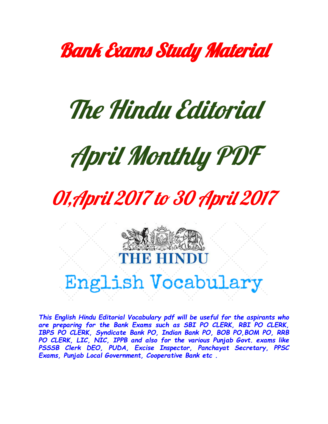

# The Hindu Editorial



# 01, April 2017 to 30 April 2017



# English Vocabulary

*This English Hindu Editorial Vocabulary pdf will be useful for the aspirants who are preparing for the Bank Exams such as SBI PO CLERK, RBI PO CLERK, IBPS PO CLERK, Syndicate Bank PO, Indian Bank PO, BOB PO,BOM PO, RRB PO CLERK, LIC, NIC, IPPB and also for the various Punjab Govt. exams like PSSSB Clerk DEO, PUDA, Excise Inspector, Panchayat Secretary, PPSC Exams, Punjab Local Government, Cooperative Bank etc .*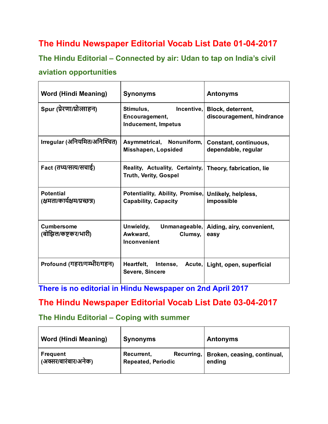## The Hindu Newspaper Editorial Vocab List Date 01-04-2017

The Hindu Editorial – Connected by air: Udan to tap on India's civil

#### aviation opportunities

| <b>Word (Hindi Meaning)</b>                      | <b>Synonyms</b>                                                                         | <b>Antonyms</b>                                 |
|--------------------------------------------------|-----------------------------------------------------------------------------------------|-------------------------------------------------|
| Spur (प्रेरणा/प्रोत्साहन)                        | Stimulus,<br>Incentive,<br>Encouragement,<br><b>Inducement, Impetus</b>                 | Block, deterrent,<br>discouragement, hindrance  |
| Irregular (अनियमित/अनिश्चित)                     | Asymmetrical, Nonuniform,<br>Misshapen, Lopsided                                        | Constant, continuous,<br>dependable, regular    |
| Fact (तथ्य/सत्य/संचाई)                           | Reality, Actuality, Certainty, Theory, fabrication, lie<br><b>Truth, Verity, Gospel</b> |                                                 |
| <b>Potential</b><br>(क्षमता/कार्यक्षम/प्रच्छन्न) | Potentiality, Ability, Promise,<br><b>Capability, Capacity</b>                          | Unlikely, helpless,<br>impossible               |
| <b>Cumbersome</b><br>(बोझिल/कष्टकर/भारी)         | Unwieldy,<br>Awkward,<br>Clumsy,<br>Inconvenient                                        | Unmanageable, Aiding, airy, convenient,<br>easy |
| Profound (गहरा/गम्भीर/गहन)                       | Heartfelt, Intense,<br>Severe, Sincere                                                  | Acute, Light, open, superficial                 |

There is no editorial in Hindu Newspaper on 2nd April 2017

#### The Hindu Newspaper Editorial Vocab List Date 03-04-2017

#### The Hindu Editorial – Coping with summer

| <b>Word (Hindi Meaning)</b>             | <b>Synonyms</b>                                        | <b>Antonyms</b>                       |
|-----------------------------------------|--------------------------------------------------------|---------------------------------------|
| <b>Frequent</b><br>(अक्सर/बारंबार/अनेक) | Recuring,  <br>Recurrent,<br><b>Repeated, Periodic</b> | Broken, ceasing, continual,<br>ending |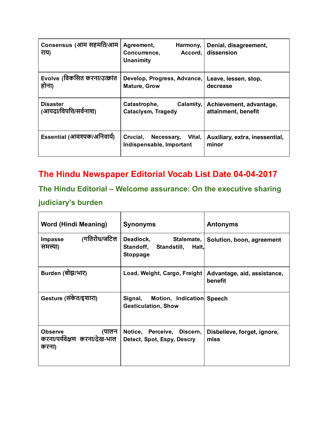| Consensus (आम सहमति/आम<br>राय)            | Agreement,<br>Harmony,<br>Accord,<br>Concurrence,<br><b>Unanimity</b> | Denial, disagreement,<br>dissension            |
|-------------------------------------------|-----------------------------------------------------------------------|------------------------------------------------|
| Evolve (विकसित करना/उत्क्रांत<br>होना)    | Develop, Progress, Advance,<br><b>Mature, Grow</b>                    | Leave, lessen, stop,<br>decrease               |
| <b>Disaster</b><br>(आपदा/विपत्ति/सर्वनाश) | Calamity,<br>Catastrophe,<br><b>Cataclysm, Tragedy</b>                | Achievement, advantage,<br>attainment, benefit |
| Essential (आवश्यक/अनिवार्य)               | Crucial,<br>Vital,<br>Necessary,<br>Indispensable, Important          | Auxiliary, extra, inessential,<br>minor        |

# The Hindu Newspaper Editorial Vocab List Date 04-04-2017

# The Hindu Editorial – Welcome assurance: On the executive sharing

#### judiciary's burden

| <b>Word (Hindi Meaning)</b>                                      | <b>Synonyms</b>                                                              | <b>Antonyms</b>                        |
|------------------------------------------------------------------|------------------------------------------------------------------------------|----------------------------------------|
| (गतिरोध/जटिल<br>Impasse<br>समस्या)                               | Deadlock,<br>Stalemate,<br>Standoff, Standstill,<br>Halt,<br><b>Stoppage</b> | Solution, boon, agreement              |
| Burden (बोझ/भार)                                                 | Load, Weight, Cargo, Freight                                                 | Advantage, aid, assistance,<br>benefit |
| Gesture (संकेत/इशारा)                                            | Motion, Indication Speech<br>Signal,<br><b>Gesticulation, Show</b>           |                                        |
| <b>Observe</b><br>(पालन<br>करना/पर्यवेक्षण करना/देख-भाल<br>करना) | Notice, Perceive, Discern,<br>Detect, Spot, Espy, Descry                     | Disbelieve, forget, ignore,<br>miss    |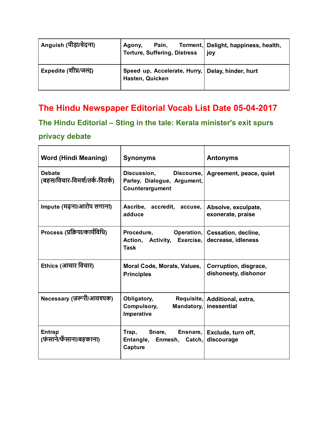| Anguish (पीड़ा/वेदना) | Pain,<br>Agony,<br><b>Torture, Suffering, Distress</b>              | Torment, Delight, happiness, health,<br>joy |
|-----------------------|---------------------------------------------------------------------|---------------------------------------------|
| Expedite (शीघ्र/जल्द) | Speed up, Accelerate, Hurry, Delay, hinder, hurt<br>Hasten, Quicken |                                             |

### The Hindu Newspaper Editorial Vocab List Date 05-04-2017

The Hindu Editorial – Sting in the tale: Kerala minister's exit spurs privacy debate

| <b>Word (Hindi Meaning)</b>                     | <b>Synonyms</b>                                                                    | <b>Antonyms</b>                               |
|-------------------------------------------------|------------------------------------------------------------------------------------|-----------------------------------------------|
| <b>Debate</b><br>(बहस/विचार-विमर्श/तर्क-वितर्क) | <b>Discussion,</b><br>Discourse,<br>Parley, Dialogue, Argument,<br>Counterargument | Agreement, peace, quiet                       |
| Impute (मढ़ना/आरोप लगाना)                       | Ascribe, accredit, accuse,<br>adduce                                               | Absolve, exculpate,<br>exonerate, praise      |
| Process (प्रक्रिया/कार्यविधि)                   | Procedure, Operation,<br>Action, Activity, Exercise,<br>Task                       | Cessation, decline,<br>decrease, idleness     |
| Ethics (आचार विचार)                             | Moral Code, Morals, Values,<br><b>Principles</b>                                   | Corruption, disgrace,<br>dishonesty, dishonor |
| Necessary (ज़रूरी/आवश्यक)                       | Obligatory,<br>Requisite,<br>Mandatory,<br>Compulsory,<br>Imperative               | Additional, extra,<br>inessential             |
| Entrap<br>(फंसाने/फॅसाना/बहकाना)                | Ensnare,<br>Trap,<br>Snare,<br>Entangle, Enmesh, Catch,<br>Capture                 | Exclude, turn off,<br>discourage              |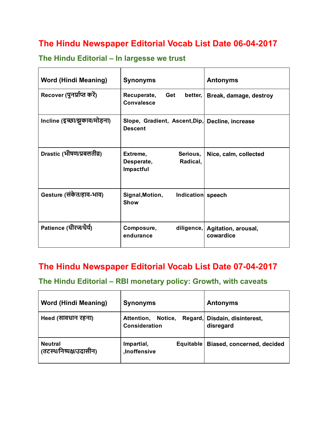## The Hindu Newspaper Editorial Vocab List Date 06-04-2017

| <b>Word (Hindi Meaning)</b>  | <b>Synonyms</b>                                             | <b>Antonyms</b>                  |
|------------------------------|-------------------------------------------------------------|----------------------------------|
| Recover (पुनर्प्राप्त करें)  | Get<br>Recuperate,<br>better,<br><b>Convalesce</b>          | Break, damage, destroy           |
| Incline (इच्छा/झुकाव/मोड़ना) | Slope, Gradient, Ascent, Dip,<br><b>Descent</b>             | Decline, increase                |
| Drastic (भीषण/प्रबलतीव्र)    | Extreme,<br>Serious,<br>Radical,<br>Desperate,<br>Impactful | Nice, calm, collected            |
| Gesture (संकेत/हाव-भाव)      | Signal, Motion,<br>Indication speech<br><b>Show</b>         |                                  |
| Patience (धीरज/धैर्य)        | Composure,<br>diligence,<br>endurance                       | Agitation, arousal,<br>cowardice |

#### The Hindu Editorial – In largesse we trust

#### The Hindu Newspaper Editorial Vocab List Date 07-04-2017

#### The Hindu Editorial – RBI monetary policy: Growth, with caveats

| <b>Word (Hindi Meaning)</b>               | <b>Synonyms</b>                               | <b>Antonyms</b>                            |
|-------------------------------------------|-----------------------------------------------|--------------------------------------------|
| Heed (सावधान रहना)                        | Notice,<br>Attention,<br><b>Consideration</b> | Regard, Disdain, disinterest,<br>disregard |
| <b>Neutral</b><br>(तटस्थ/निष्पक्ष/उदासीन) | Impartial,<br>Equitable<br>.Inoffensive       | Biased, concerned, decided                 |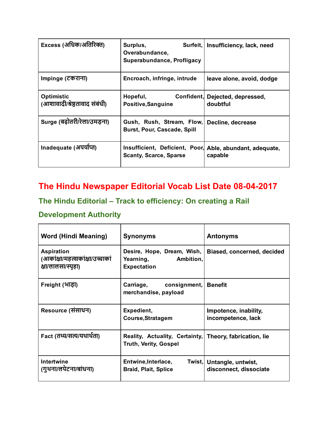| Excess (अधिक/अतिरिक्त)                             | Surplus,<br>Surfeit,<br>Overabundance,<br>Superabundance, Profligacy                      | Insufficiency, lack, need                   |
|----------------------------------------------------|-------------------------------------------------------------------------------------------|---------------------------------------------|
| Impinge (टकराना)                                   | Encroach, infringe, intrude                                                               | leave alone, avoid, dodge                   |
| <b>Optimistic</b><br>(आशावादी/श्रेष्ठतावाद संबंधी) | Hopeful,<br>Positive, Sanguine                                                            | Confident, Dejected, depressed,<br>doubtful |
| Surge (बढ़ोतरी/रेला/उमडना)                         | Gush, Rush, Stream, Flow,<br>Burst, Pour, Cascade, Spill                                  | Decline, decrease                           |
| Inadequate (अपयोप्त)                               | Insufficient, Deficient, Poor, Able, abundant, adequate,<br><b>Scanty, Scarce, Sparse</b> | capable                                     |

# The Hindu Newspaper Editorial Vocab List Date 08-04-2017

#### The Hindu Editorial – Track to efficiency: On creating a Rail

#### Development Authority

| <b>Word (Hindi Meaning)</b>                                                 | <b>Synonyms</b>                                                                         | <b>Antonyms</b>                                     |
|-----------------------------------------------------------------------------|-----------------------------------------------------------------------------------------|-----------------------------------------------------|
| <b>Aspiration</b><br>(आकांक्षा/महत्वाकांक्षा/उच्चाकां<br>क्षा/लालसा/स्पृहा) | Desire, Hope, Dream, Wish,<br>Yearning,<br>Ambition,<br><b>Expectation</b>              | Biased, concerned, decided                          |
| Freight (भाड़ा)                                                             | Carriage,<br>consignment,<br>merchandise, payload                                       | <b>Benefit</b>                                      |
| Resource (संसाधन)                                                           | Expedient,<br>Course, Stratagem                                                         | Impotence, inability,<br>incompetence, lack         |
| Fact (तथ्य/सत्य/यथार्थता)                                                   | Reality, Actuality, Certainty, Theory, fabrication, lie<br><b>Truth, Verity, Gospel</b> |                                                     |
| Intertwine<br>(गुथना/लपेटना/बांधना)                                         | Entwine, Interlace,<br><b>Braid, Plait, Splice</b>                                      | Twist, Untangle, untwist,<br>disconnect, dissociate |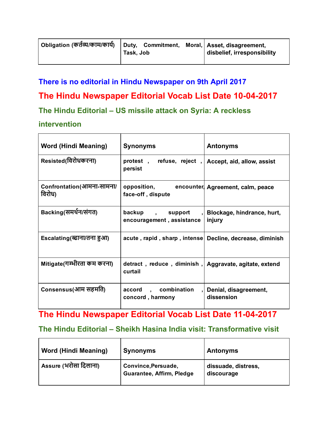| - Obligation (कर्तव्य/काम/कार्य) | Duty, Commitment,<br>Task, Job | Moral,   Asset, disagreement,<br>disbelief, irresponsibility |
|----------------------------------|--------------------------------|--------------------------------------------------------------|
|                                  |                                |                                                              |

#### There is no editorial in Hindu Newspaper on 9th April 2017

#### The Hindu Newspaper Editorial Vocab List Date 10-04-2017

#### The Hindu Editorial – US missile attack on Syria: A reckless

#### intervention

| <b>Word (Hindi Meaning)</b>         | <b>Synonyms</b>                                                          | <b>Antonyms</b>                     |
|-------------------------------------|--------------------------------------------------------------------------|-------------------------------------|
| Resisted(विरोधकरना)                 | protest, refuse, reject, Accept, aid, allow, assist<br>persist           |                                     |
| Confrontation(आमना-सामना/<br>विरोध) | opposition, encounter Agreement, calm, peace<br>face-off, dispute        |                                     |
| Backing(समर्थन/संगत)                | backup, support, Blockage, hindrance, hurt,<br>encouragement, assistance | injury                              |
| Escalating(ब्दाना/तना हुआ)          | acute, rapid, sharp, intense Decline, decrease, diminish                 |                                     |
| Mitigate(गम्भीरता कम करना)          | detract, reduce, diminish, Aggravate, agitate, extend<br>curtail         |                                     |
| Consensus(आम सहमति)                 | accord, combination<br>concord, harmony                                  | Denial, disagreement,<br>dissension |

# The Hindu Newspaper Editorial Vocab List Date 11-04-2017

#### The Hindu Editorial – Sheikh Hasina India visit: Transformative visit

| <b>Word (Hindi Meaning)</b> | <b>Synonyms</b>                                  | <b>Antonyms</b>                   |
|-----------------------------|--------------------------------------------------|-----------------------------------|
| Assure (भरोसा दिलाना)       | Convince, Persuade,<br>Guarantee, Affirm, Pledge | dissuade, distress,<br>discourage |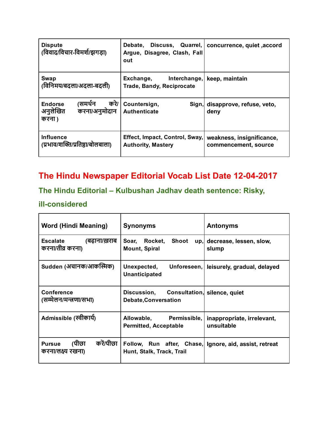| <b>Dispute</b><br>(विवाद/विचार-विमर्श/झगड़ा)                            | Debate,<br>Discuss, Quarrel,<br>Argue, Disagree, Clash, Fall<br>out | concurrence, quiet, accord                        |
|-------------------------------------------------------------------------|---------------------------------------------------------------------|---------------------------------------------------|
| <b>Swap</b><br>(विनिमय/बदला/अदला-बदली)                                  | Exchange,<br>Interchange,<br><b>Trade, Bandy, Reciprocate</b>       | keep, maintain                                    |
| करे।<br>(समर्थन<br><b>Endorse</b><br>अनुलेखित<br>करना/अनुमोदान<br>करना) | Countersign,<br>Authenticate                                        | Sign, disapprove, refuse, veto,<br>deny           |
| <b>Influence</b><br>(प्रभाव/शक्ति/प्रतिष्ठा/बोलबाला)                    | Effect, Impact, Control, Sway,<br><b>Authority, Mastery</b>         | weakness, insignificance,<br>commencement, source |

# The Hindu Newspaper Editorial Vocab List Date 12-04-2017

# The Hindu Editorial – Kulbushan Jadhav death sentence: Risky,

#### ill-considered

| Word (Hindi Meaning)                                     | <b>Synonyms</b>                                                         | <b>Antonyms</b>                          |
|----------------------------------------------------------|-------------------------------------------------------------------------|------------------------------------------|
| (बढ़ाना/ख़राब<br>Escalate<br>करना/तीव्र करना)            | Rocket, Shoot<br>Soar,<br>up,<br>Mount, Spiral                          | decrease, lessen, slow,<br>slump         |
| Sudden (अंचानक/आर्कास्मिक)                               | Unforeseen,<br>Unexpected,<br><b>Unanticipated</b>                      | leisurely, gradual, delayed              |
| <b>Conference</b><br>(सम्मेलन/मन्त्रणा/सभा)              | Discussion, Consultation, silence, quiet<br><b>Debate, Conversation</b> |                                          |
| Admissible (स्वीकार्य)                                   | Allowable, Permissible,<br><b>Permitted, Acceptable</b>                 | inappropriate, irrelevant,<br>unsuitable |
| करें/पीछा<br>(पीछा<br><b>Pursue</b><br>करना/लक्ष्य रखना) | Follow, Run after, Chase,<br>Hunt, Stalk, Track, Trail                  | Ignore, aid, assist, retreat             |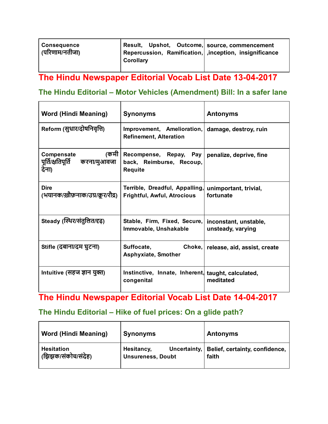| <b>Consequence</b><br>ˈ <sub>(</sub> परिणाम/नतीजा) | Result, Upshot, Outcome, source, commencement<br>Repercussion, Ramification, inception, insignificance<br>Corollary |  |
|----------------------------------------------------|---------------------------------------------------------------------------------------------------------------------|--|
|                                                    |                                                                                                                     |  |

# The Hindu Newspaper Editorial Vocab List Date 13-04-2017

#### The Hindu Editorial – Motor Vehicles (Amendment) Bill: In a safer lane

| <b>Word (Hindi Meaning)</b>                                      | <b>Synonyms</b>                                                      | <b>Antonyms</b>                            |
|------------------------------------------------------------------|----------------------------------------------------------------------|--------------------------------------------|
| Reform (सुधार/दोषनिवृत्ति)                                       | Improvement, Amelioration,<br><b>Refinement, Alteration</b>          | damage, destroy, ruin                      |
| (कमी<br>Compensate<br>पूर्ति/क्षतिपूर्ति<br>करना/मुआवजा<br>देना) | Recompense, Repay, Pay<br>back, Reimburse, Recoup,<br><b>Requite</b> | penalize, deprive, fine                    |
| <b>Dire</b><br>(भयानक/ख़ौफ़नाक/उग्र/क्रूर/रौद्र)                 | Terrible, Dreadful, Appalling,<br><b>Frightful, Awful, Atrocious</b> | unimportant, trivial,<br>fortunate         |
| Steady (स्थिर/संतुलित/दृढ़)                                      | Stable, Firm, Fixed, Secure,<br>Immovable, Unshakable                | inconstant, unstable,<br>unsteady, varying |
| Stifle (दबाना/दम घुटना)                                          | Suffocate, <b>Suffocate</b><br>Choke,<br>Asphyxiate, Smother         | release, aid, assist, create               |
| Intuitive (सहज ज्ञान युक्त)                                      | Instinctive, Innate, Inherent, taught, calculated,<br>congenital     | meditated                                  |

# The Hindu Newspaper Editorial Vocab List Date 14-04-2017

#### The Hindu Editorial – Hike of fuel prices: On a glide path?

| <b>Word (Hindi Meaning)</b> | <b>Synonyms</b>          | <b>Antonyms</b>                               |
|-----------------------------|--------------------------|-----------------------------------------------|
| <b>Hesitation</b>           | Hesitancy,               | Uncertainty,   Belief, certainty, confidence, |
| (झिझक/संकोच/संदेह)          | <b>Unsureness, Doubt</b> | faith                                         |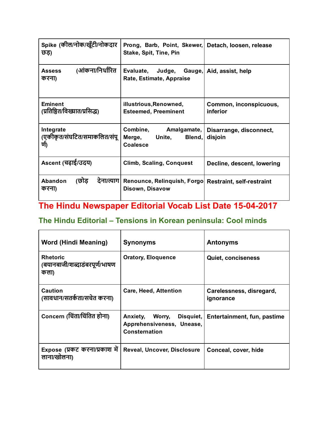| Spike (कील/नोक/खूँटी/नोकदार<br>छड़)              | Prong, Barb, Point, Skewer,<br>Stake, Spit, Tine, Pin                    | Detach, loosen, release            |
|--------------------------------------------------|--------------------------------------------------------------------------|------------------------------------|
| (आंकना/निर्धारित<br><b>Assess</b><br>करना)       | Evaluate, Judge, Gauge, Aid, assist, help<br>Rate, Estimate, Appraise    |                                    |
| <b>Eminent</b><br>(प्रतिष्ठित/विख्यात/प्रसिद्ध)  | illustrious, Renowned,<br><b>Esteemed, Preeminent</b>                    | Common, inconspicuous,<br>inferior |
| Integrate<br>(एकीकृत/संघटित/समाकलित/संपू<br>र्ण) | Combine,<br>Amalgamate,<br>Merge,<br>Unite,<br>Blend,<br><b>Coalesce</b> | Disarrange, disconnect,<br>disjoin |
| Ascent (चढ़ाई/उदय)                               | <b>Climb, Scaling, Conquest</b>                                          | Decline, descent, lowering         |
| (छोड<br>देना/त्याग।<br>Abandon<br>करना)          | Renounce, Relinquish, Forgo Restraint, self-restraint<br>Disown, Disavow |                                    |

# The Hindu Newspaper Editorial Vocab List Date 15-04-2017

### The Hindu Editorial – Tensions in Korean peninsula: Cool minds

| <b>Word (Hindi Meaning)</b>                              | <b>Synonyms</b>                                                               | <b>Antonyms</b>                       |
|----------------------------------------------------------|-------------------------------------------------------------------------------|---------------------------------------|
| <b>Rhetoric</b><br>(बयानबाजी/शब्दाडंबरपूर्ण/भाषण<br>कला) | <b>Oratory, Eloquence</b>                                                     | <b>Quiet, conciseness</b>             |
| <b>Caution</b><br>(सावधान/सतर्कता/सचेत करना)             | Care, Heed, Attention                                                         | Carelessness, disregard,<br>ignorance |
| Concern (चिंता/चिंतित होना)                              | Anxiety,<br>Disquiet,<br>Worry,<br>Apprehensiveness, Unease,<br>Consternation | Entertainment, fun, pastime           |
| Expose (प्रकट करना/प्रकाश में<br>लाना/खोलना)             | Reveal, Uncover, Disclosure                                                   | Conceal, cover, hide                  |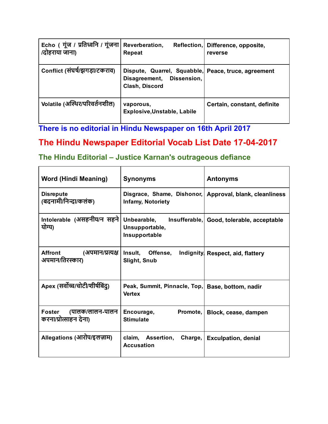| Echo (गूंज / प्रतिध्वनि / गूंजना<br>/दोहराया जाना) | Reverberation,<br>Repeat                                                                           | Reflection, Difference, opposite,<br>reverse |
|----------------------------------------------------|----------------------------------------------------------------------------------------------------|----------------------------------------------|
| Conflict (संघर्ष/झगड़ा/टकराव)                      | Dispute, Quarrel, Squabble, Peace, truce, agreement<br>Disagreement, Dissension,<br>Clash, Discord |                                              |
| Volatile (अस्थिर/परिवर्तनशील)                      | vaporous,<br><b>Explosive, Unstable, Labile</b>                                                    | Certain, constant, definite                  |

There is no editorial in Hindu Newspaper on 16th April 2017

# The Hindu Newspaper Editorial Vocab List Date 17-04-2017

#### The Hindu Editorial – Justice Karnan's outrageous defiance

| <b>Word (Hindi Meaning)</b>                           | <b>Synonyms</b>                                                   | <b>Antonyms</b>                           |
|-------------------------------------------------------|-------------------------------------------------------------------|-------------------------------------------|
| <b>Disrepute</b><br>(बदनामी/निन्दा/कलंक)              | Disgrace, Shame, Dishonor,<br>Infamy, Notoriety                   | Approval, blank, cleanliness              |
| Intolerable (असहनीय/न सहने <br>योग्य)                 | Unbearable,<br>Unsupportable,<br>Insupportable                    | Insufferable, Good, tolerable, acceptable |
| <b>Affront</b><br>(अपमान/प्रत्यक्ष<br>अपमान/तिरस्कार) | Insult,<br>Offense,<br>Slight, Snub                               | Indignity Respect, aid, flattery          |
| Apex (सर्वोच्च/चोटी/शीर्षबिंदु)                       | Peak, Summit, Pinnacle, Top, Base, bottom, nadir<br><b>Vertex</b> |                                           |
| Foster<br>(पालक/लालन-पालन<br>करना/प्रोत्साहन देना)    | Promote,<br>Encourage,<br><b>Stimulate</b>                        | Block, cease, dampen                      |
| Allegations (आरोप/इलज़ाम)                             | claim, Assertion,<br>Charge,<br><b>Accusation</b>                 | <b>Exculpation, denial</b>                |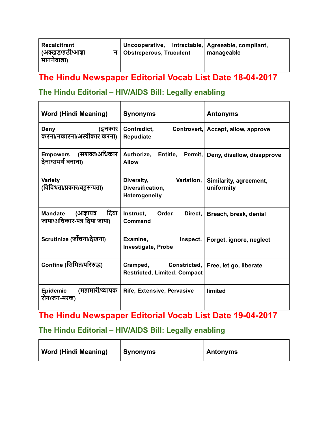| <b>Recalcitrant</b><br>  (अक्खड/हठी/आज्ञा<br>। माननेवाला) | Uncooperative, Intractable, Agreeable, compliant,<br>국   Obstreperous, Truculent | manageable |
|-----------------------------------------------------------|----------------------------------------------------------------------------------|------------|
|-----------------------------------------------------------|----------------------------------------------------------------------------------|------------|

# The Hindu Newspaper Editorial Vocab List Date 18-04-2017

# The Hindu Editorial – HIV/AIDS Bill: Legally enabling

| <b>Word (Hindi Meaning)</b>                                         | <b>Synonyms</b>                                                 | <b>Antonyms</b>                      |
|---------------------------------------------------------------------|-----------------------------------------------------------------|--------------------------------------|
| (इनकार)<br>Deny<br>करना/नकारना/अस्वीकार करना)                       | Contradict,<br><b>Repudiate</b>                                 | Controvert, Accept, allow, approve   |
| (सशक्त/अधिकार<br><b>Empowers</b><br>देना/समर्थ बनाना)               | Authorize,<br>Entitle,<br><b>Allow</b>                          | Permit, Deny, disallow, disapprove   |
| Variety<br>(विविधता/प्रकार/बहुरूपता)                                | Diversity,<br>Variation,<br>Diversification,<br>Heterogeneity   | Similarity, agreement,<br>uniformity |
| दिया<br>(आज्ञापत्र<br><b>Mandate</b><br>जाया/अधिकार-पत्र दिया जाया) | Instruct,<br>Order,<br>Direct,<br><b>Command</b>                | Breach, break, denial                |
| Scrutinize (जाँचना/देखना)                                           | Examine,<br>Inspect,<br><b>Investigate, Probe</b>               | Forget, ignore, neglect              |
| Confine (सिमित/परिरुद्ध)                                            | Cramped,<br>Constricted,<br><b>Restricted, Limited, Compact</b> | Free, let go, liberate               |
| (महामारी/व्यापक<br>Epidemic<br>रोग/जन-मरक)                          | Rife, Extensive, Pervasive                                      | limited                              |

# The Hindu Newspaper Editorial Vocab List Date 19042017

#### The Hindu Editorial – HIV/AIDS Bill: Legally enabling

| <b>Word (Hindi Meaning)</b> | Synonyms | <b>Antonyms</b> |
|-----------------------------|----------|-----------------|
|-----------------------------|----------|-----------------|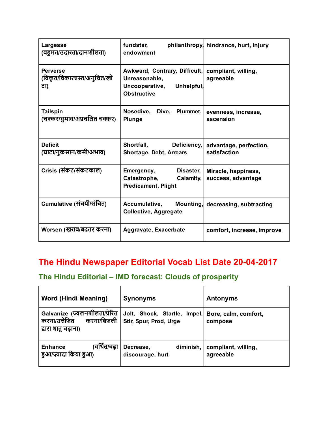| <b>Largesse</b><br>(बहुमत/उदारता/दानशीलता)             | fundstar,<br>endowment                                                                               | philanthropy, hindrance, hurt, injury     |
|--------------------------------------------------------|------------------------------------------------------------------------------------------------------|-------------------------------------------|
| <b>Perverse</b><br>(विकृत/विकारग्रस्त/अनुचित/खो<br>ਟਾ) | Awkward, Contrary, Difficult,<br>Unreasonable,<br>Uncooperative,<br>Unhelpful,<br><b>Obstructive</b> | compliant, willing,<br>agreeable          |
| <b>Tailspin</b><br>(चक्कर/घुमाव/अप्रचलित चक्कर)        | Nosedive, Dive, Plummet,<br><b>Plunge</b>                                                            | evenness, increase,<br>ascension          |
| <b>Deficit</b><br>(घाटा/नुकसान/कमी/अभाव)               | Shortfall,<br>Deficiency,<br><b>Shortage, Debt, Arrears</b>                                          | advantage, perfection,<br>satisfaction    |
| Crisis (संकट/संकटकाल)                                  | Emergency,<br>Disaster,<br>Catastrophe,<br>Calamity,<br><b>Predicament, Plight</b>                   | Miracle, happiness,<br>success, advantage |
| Cumulative (संचयी/संचित)                               | <b>Accumulative,</b><br>Mounting,<br><b>Collective, Aggregate</b>                                    | decreasing, subtracting                   |
| Worsen (खराब/बदतर करना)                                | Aggravate, Exacerbate                                                                                | comfort, increase, improve                |

# The Hindu Newspaper Editorial Vocab List Date 20-04-2017

#### The Hindu Editorial – IMD forecast: Clouds of prosperity

| <b>Word (Hindi Meaning)</b>                                                         | <b>Synonyms</b>                                        | <b>Antonyms</b>                  |
|-------------------------------------------------------------------------------------|--------------------------------------------------------|----------------------------------|
| Galvanize (ज्वलनशीलता/प्रेरित<br>करना/उत्तेजित<br>करना/बिजली<br>द्वारा धातु चढ़ाना) | Jolt, Shock, Startle, Impel,<br>Stir, Spur, Prod, Urge | Bore, calm, comfort,<br>compose  |
| ،वर्धित/बढ़ा<br><b>Enhance</b><br>हुआ/ज़्यादा किया हुआ)                             | diminish,<br>Decrease,<br>discourage, hurt             | compliant, willing,<br>agreeable |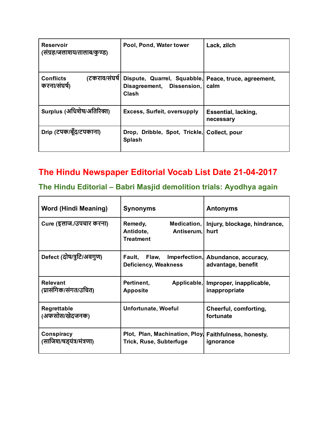| Reservoir<br>(संग्रह/जलाशय/तालाब/कुण्ड)           | Pool, Pond, Water tower                                                                    | Lack, zilch                      |
|---------------------------------------------------|--------------------------------------------------------------------------------------------|----------------------------------|
| (टकराव/संघर्ष<br><b>Conflicts</b><br>करना/संघर्ष) | Dispute, Quarrel, Squabble, Peace, truce, agreement,<br>Disagreement, Dissension,<br>Clash | calm                             |
| Surplus (अधिशेष/अतिरिक्त)                         | <b>Excess, Surfeit, oversupply</b>                                                         | Essential, lacking,<br>necessary |
| Drip (टपक/बूँद/टपकाना)                            | Drop, Dribble, Spot, Trickle, Collect, pour<br><b>Splash</b>                               |                                  |

## The Hindu Newspaper Editorial Vocab List Date 21-04-2017

#### The Hindu Editorial – Babri Masjid demolition trials: Ayodhya again

 $\overline{\phantom{a}}$ 

 $\blacksquare$ 

| <b>Word (Hindi Meaning)</b>              | <b>Synonyms</b>                                                       | <b>Antonyms</b>                                          |
|------------------------------------------|-----------------------------------------------------------------------|----------------------------------------------------------|
| Cure (इलाज./उपचार करना)                  | Remedy,<br>Medication,<br>Antidote,<br>Antiserum,<br><b>Treatment</b> | Injury, blockage, hindrance,<br>hurt                     |
| Defect (दोष/त्रुटि/अवगुण)                | Fault, Flaw,<br><b>Deficiency, Weakness</b>                           | Imperfection, Abundance, accuracy,<br>advantage, benefit |
| <b>Relevant</b><br>(प्रासंगिक/संगत/उचित) | Pertinent,<br><b>Apposite</b>                                         | Applicable, Improper, inapplicable,<br>inappropriate     |
| <b>Regrettable</b><br>(अफसोस/खेदजनक)     | Unfortunate, Woeful                                                   | Cheerful, comforting,<br>fortunate                       |
| Conspiracy<br>(साजिश/षड्यंत्र/मंत्रणा)   | Plot, Plan, Machination, Ploy,<br><b>Trick, Ruse, Subterfuge</b>      | Faithfulness, honesty,<br>ignorance                      |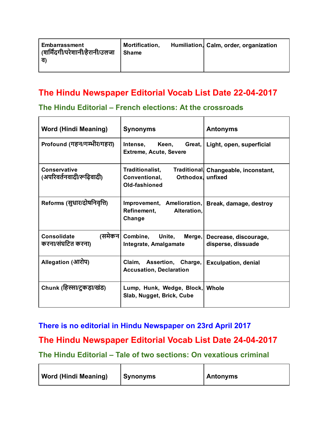| Embarrassment<br>(शर्मिंदगी/परेशानी/हैरानी/उलजा<br>ਰ' | Mortification,<br><b>Shame</b> |  | Humiliation, Calm, order, organization |
|-------------------------------------------------------|--------------------------------|--|----------------------------------------|
|-------------------------------------------------------|--------------------------------|--|----------------------------------------|

# The Hindu Newspaper Editorial Vocab List Date 22-04-2017

#### The Hindu Editorial – French elections: At the crossroads

| <b>Word (Hindi Meaning)</b>                      | <b>Synonyms</b>                                                    | <b>Antonyms</b>                                |
|--------------------------------------------------|--------------------------------------------------------------------|------------------------------------------------|
| Profound (गहन/गम्भीर/गहरा)                       | Keen,<br>Intense,<br>Great,<br><b>Extreme, Acute, Severe</b>       | Light, open, superficial                       |
| <b>Conservative</b><br>(अपरिवर्तनवादी/रूढ़िवादी) | Traditionalist,<br>Conventional,<br>Orthodox.<br>Old-fashioned     | Traditional Changeable, inconstant,<br>unfixed |
| Reforms (सुधार/दोषनिवृत्ति)                      | Improvement, Amelioration,<br>Alteration,<br>Refinement,<br>Change | Break, damage, destroy                         |
| (समेकन <br>Consolidate<br>करना/संघटित करना)      | Combine, Unite, Merge,<br>Integrate, Amalgamate                    | Decrease, discourage,<br>disperse, dissuade    |
| Allegation (आरोप)                                | Claim, Assertion, Charge,<br><b>Accusation, Declaration</b>        | <b>Exculpation, denial</b>                     |
| Chunk (हिस्सा/टुकड़ा/खंड)                        | Lump, Hunk, Wedge, Block, Whole<br>Slab, Nugget, Brick, Cube       |                                                |

#### There is no editorial in Hindu Newspaper on 23rd April 2017

 $\blacksquare$ 

#### The Hindu Newspaper Editorial Vocab List Date 24-04-2017

The Hindu Editorial – Tale of two sections: On vexatious criminal

| <b>Word (Hindi Meaning)</b> | <b>Synonyms</b> | Antonyms |
|-----------------------------|-----------------|----------|
|-----------------------------|-----------------|----------|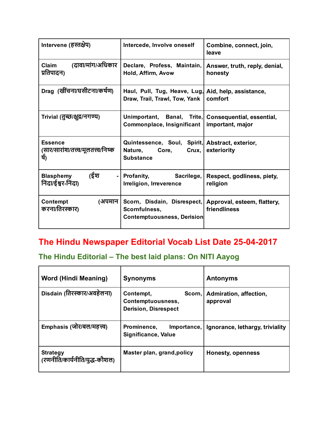| Intervene (हस्तक्षेप)                                           | Intercede, Involve oneself                                                                       | Combine, connect, join,<br>leave            |
|-----------------------------------------------------------------|--------------------------------------------------------------------------------------------------|---------------------------------------------|
| (दावा/मांग/अधिकार<br>Claim<br>प्रतिपादन)                        | Declare, Profess, Maintain,<br>Hold, Affirm, Avow                                                | Answer, truth, reply, denial,<br>honesty    |
| Drag (खींचना/घसीटना/कर्षण)                                      | Haul, Pull, Tug, Heave, Lug, Aid, help, assistance,<br>Draw, Trail, Trawl, Tow, Yank             | comfort                                     |
| Trivial (तुच्छ/क्षुद्र/नगण्य)                                   | Unimportant, Banal, Trite, Consequential, essential,<br>Commonplace, Insignificant               | important, major                            |
| <b>Essence</b><br>(सार/सारांश/तत्त्व/मूलतत्त्व/निष्क<br>र्ष)    | Quintessence, Soul, Spirit, Abstract, exterior,<br>Nature,<br>Core,<br>Crux,<br><b>Substance</b> | exteriority                                 |
| (ईश<br><b>Blasphemy</b><br>$\blacksquare$<br>निंदा/ईश्वर-निंदा) | Profanity, Sacrilege,<br>Irreligion, Irreverence                                                 | Respect, godliness, piety,<br>religion      |
| Contempt<br>(अपमान<br>करना/तिरस्कार)                            | Scorn, Disdain, Disrespect,<br>Scornfulness,<br>Contemptuousness, Derision                       | Approval, esteem, flattery,<br>friendliness |

# The Hindu Newspaper Editorial Vocab List Date 25-04-2017

# The Hindu Editorial – The best laid plans: On NITI Aayog

| <b>Word (Hindi Meaning)</b>                      | <b>Synonyms</b>                                                         | <b>Antonyms</b>                    |
|--------------------------------------------------|-------------------------------------------------------------------------|------------------------------------|
| Disdain (तिरस्कार/अवहेलना)                       | Contempt,<br>Scorn,<br>Contemptuousness,<br><b>Derision, Disrespect</b> | Admiration, affection,<br>approval |
| Emphasis (जोर/बल/महत्त्व)                        | Prominence,<br>Importance,<br>Significance, Value                       | Ignorance, lethargy, triviality    |
| <b>Strategy</b><br>(रणनीति/कार्यनीति/युद्ध-कौशल) | Master plan, grand, policy                                              | <b>Honesty, openness</b>           |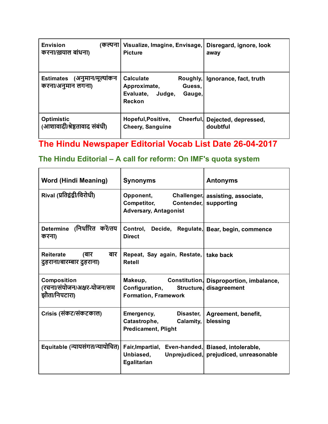| <b>Envision</b><br>(कल्पना)<br>करना/ख़याल बांधना)          | Visualize, Imagine, Envisage,<br><b>Picture</b>                                       | Disregard, ignore, look<br>away  |
|------------------------------------------------------------|---------------------------------------------------------------------------------------|----------------------------------|
| (अनुमान/मूल्यांकन<br><b>Estimates</b><br>करना/अनुमान लगना) | <b>Calculate</b><br>Approximate,<br>Guess,<br>Evaluate,<br>Judge,<br>Gauge,<br>Reckon | Roughly, Ignorance, fact, truth  |
| <b>Optimistic</b><br>(आशावादी/श्रेष्ठतावाद संबंधी)         | Hopeful, Positive,<br>Cheerful,<br><b>Cheery, Sanguine</b>                            | Dejected, depressed,<br>doubtful |

# The Hindu Newspaper Editorial Vocab List Date 26-04-2017

# The Hindu Editorial – A call for reform: On IMF's quota system

| Word (Hindi Meaning)                                              | <b>Synonyms</b>                                                                                  | <b>Antonyms</b>                                            |
|-------------------------------------------------------------------|--------------------------------------------------------------------------------------------------|------------------------------------------------------------|
| Rival (प्रतिद्वंद्वी/विरोधी)                                      | Opponent,<br><b>Competitor,</b><br><b>Adversary, Antagonist</b>                                  | Challenger, assisting, associate,<br>Contender, supporting |
| Determine (निर्धारित करें/तय<br>करना)                             | Control, Decide, Regulate, Bear, begin, commence<br><b>Direct</b>                                |                                                            |
| बार<br>Reiterate<br>(बार<br>दुहराना/बारम्बार दुहराना)             | Repeat, Say again, Restate, take back<br><b>Retell</b>                                           |                                                            |
| <b>Composition</b><br>(रचना/संयोजन/अक्षर-योजन/सम<br>झौता/निपटारा) | Makeup, Constitution, Disproportion, imbalance,<br>Configuration,<br><b>Formation, Framework</b> | Structure, disagreement                                    |
| Crisis (संकट/संकटकाल)                                             | Emergency,<br>Disaster,<br>Catastrophe, Calamity,<br><b>Predicament, Plight</b>                  | Agreement, benefit,<br>blessing                            |
| Equitable (न्यायसंगत/न्यायोचित)                                   | Fair, Impartial, Even-handed, Biased, intolerable,<br>Unbiased,<br>Egalitarian                   | Unprejudiced, prejudiced, unreasonable                     |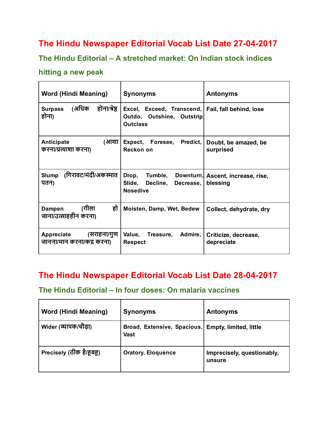## The Hindu Newspaper Editorial Vocab List Date 27-04-2017

#### The Hindu Editorial – A stretched market: On Indian stock indices

#### hitting a new peak

| <b>Word (Hindi Meaning)</b>                             | <b>Synonyms</b>                                                              | <b>Antonyms</b>                               |
|---------------------------------------------------------|------------------------------------------------------------------------------|-----------------------------------------------|
| (अधिक<br>होना/श्रेष्ठ<br><b>Surpass</b><br>होना)        | Excel, Exceed, Transcend,  <br>Outdo, Outshine, Outstrip.<br><b>Outclass</b> | Fail, fall behind, lose                       |
| (आशा<br><b>Anticipate</b><br>करना/प्रत्याशा करना)       | Predict,<br>Expect, Foresee,<br>Reckon on                                    | Doubt, be amazed, be<br>surprised             |
| (गिरावट/मंदी/अकस्मात<br><b>Slump</b><br>पतन)            | Drop,<br>Tumble,<br>Slide,<br>Decline,<br>Decrease,<br><b>Nosedive</b>       | Downturn, Ascent, increase, rise,<br>blessing |
| हो<br>(गीला<br><b>Dampen</b><br>जाना/उत्साहहीन करना)    | Moisten, Damp, Wet, Bedew                                                    | Collect, dehydrate, dry                       |
| Appreciate<br>(सराहना/गुण<br>जानना/मान करना/कंद्र करना) | Value, Treasure, Admire,<br><b>Respect</b>                                   | Criticize, decrease,<br>depreciate            |

# The Hindu Newspaper Editorial Vocab List Date 28-04-2017

#### The Hindu Editorial – In four doses: On malaria vaccines

| <b>Word (Hindi Meaning)</b> | <b>Synonyms</b>                            | <b>Antonyms</b>                      |
|-----------------------------|--------------------------------------------|--------------------------------------|
| Wider (व्यापक/चौड़ा)        | Broad, Extensive, Spacious,<br><b>Vast</b> | <b>Empty, limited, little</b>        |
| Precisely (ठीक है/हूबहू)    | <b>Oratory, Eloquence</b>                  | Imprecisely, questionably,<br>unsure |